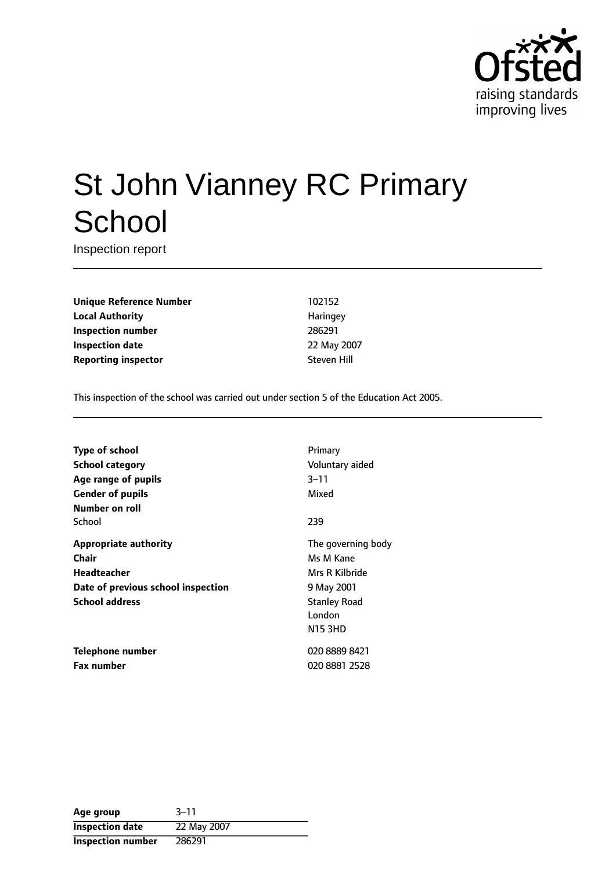

# St John Vianney RC Primary **School**

Inspection report

**Unique Reference Number** 102152 **Local Authority Haringey** Haringey **Inspection number** 286291 **Inspection date** 22 May 2007 **Reporting inspector** Steven Hill

This inspection of the school was carried out under section 5 of the Education Act 2005.

| <b>Type of school</b>              | Primary             |
|------------------------------------|---------------------|
| <b>School category</b>             | Voluntary aided     |
| Age range of pupils                | 3–11                |
| <b>Gender of pupils</b>            | Mixed               |
| Number on roll                     |                     |
| School                             | 239                 |
| <b>Appropriate authority</b>       | The governing body  |
| Chair                              | Ms M Kane           |
| <b>Headteacher</b>                 | Mrs R Kilbride      |
| Date of previous school inspection | 9 May 2001          |
| <b>School address</b>              | <b>Stanley Road</b> |
|                                    | London              |
|                                    | <b>N15 3HD</b>      |
| Telephone number                   | 020 8889 8421       |
| <b>Fax number</b>                  | 020 8881 2528       |

| Age group                | $3 - 11$    |
|--------------------------|-------------|
| <b>Inspection date</b>   | 22 May 2007 |
| <b>Inspection number</b> | 286291      |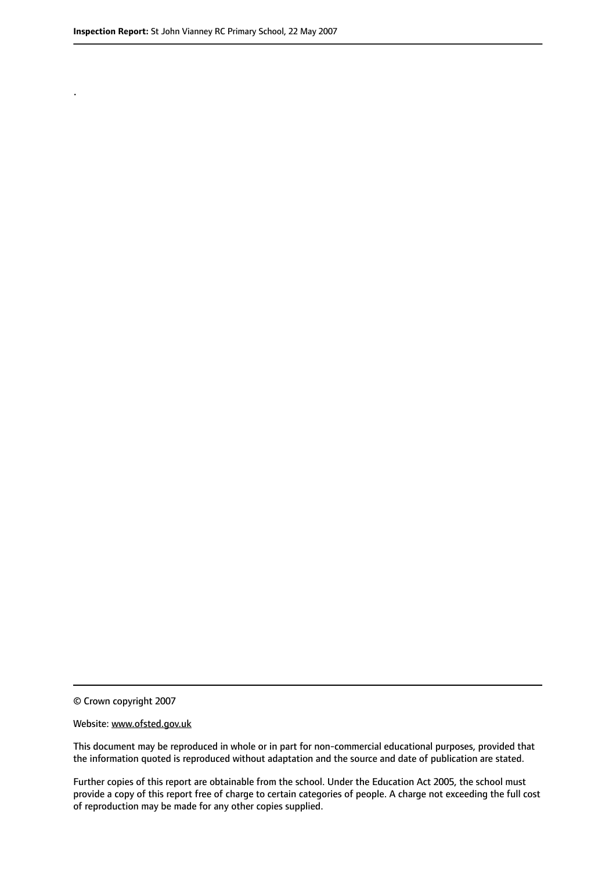.

© Crown copyright 2007

#### Website: www.ofsted.gov.uk

This document may be reproduced in whole or in part for non-commercial educational purposes, provided that the information quoted is reproduced without adaptation and the source and date of publication are stated.

Further copies of this report are obtainable from the school. Under the Education Act 2005, the school must provide a copy of this report free of charge to certain categories of people. A charge not exceeding the full cost of reproduction may be made for any other copies supplied.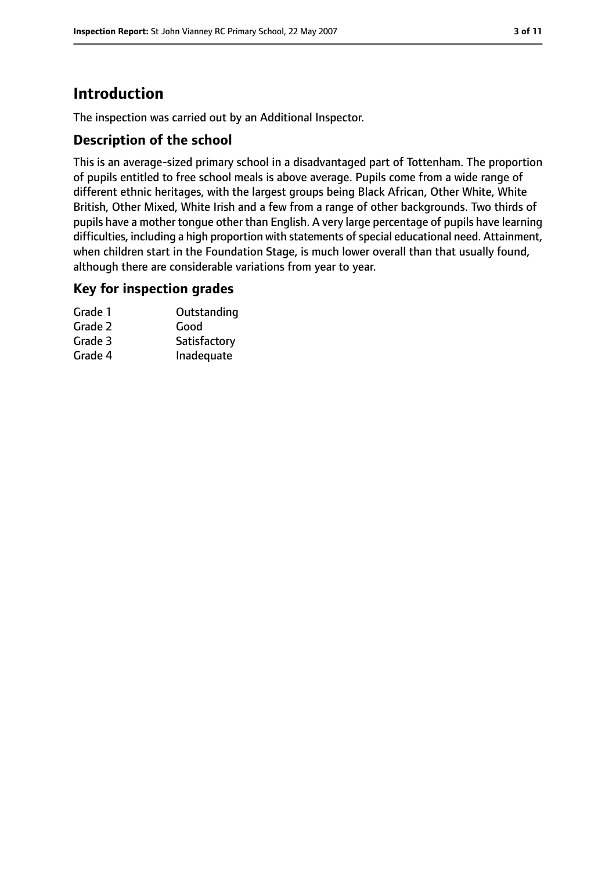# **Introduction**

The inspection was carried out by an Additional Inspector.

## **Description of the school**

This is an average-sized primary school in a disadvantaged part of Tottenham. The proportion of pupils entitled to free school meals is above average. Pupils come from a wide range of different ethnic heritages, with the largest groups being Black African, Other White, White British, Other Mixed, White Irish and a few from a range of other backgrounds. Two thirds of pupils have a mother tongue other than English. A very large percentage of pupils have learning difficulties, including a high proportion with statements of special educational need. Attainment, when children start in the Foundation Stage, is much lower overall than that usually found, although there are considerable variations from year to year.

#### **Key for inspection grades**

| Grade 1 | Outstanding  |
|---------|--------------|
| Grade 2 | Good         |
| Grade 3 | Satisfactory |
| Grade 4 | Inadequate   |
|         |              |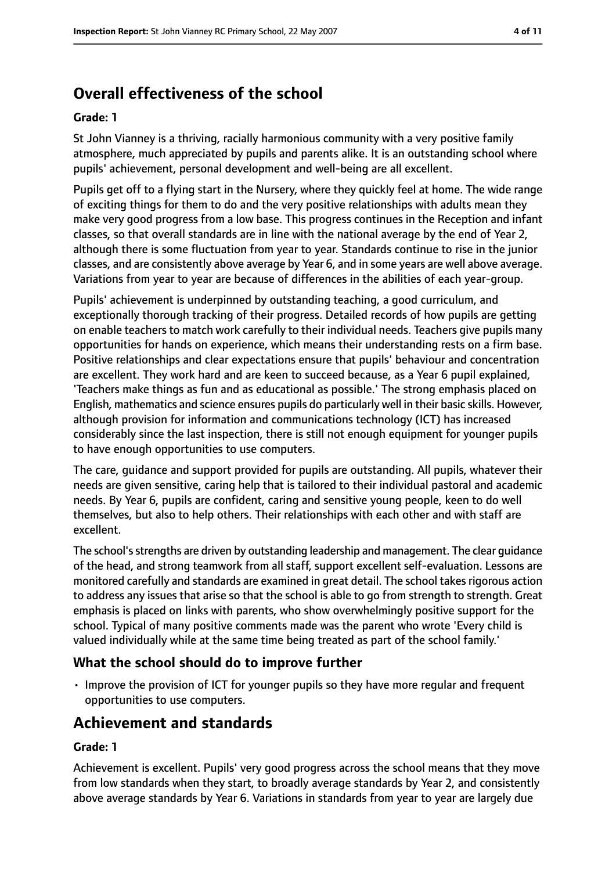# **Overall effectiveness of the school**

#### **Grade: 1**

St John Vianney is a thriving, racially harmonious community with a very positive family atmosphere, much appreciated by pupils and parents alike. It is an outstanding school where pupils' achievement, personal development and well-being are all excellent.

Pupils get off to a flying start in the Nursery, where they quickly feel at home. The wide range of exciting things for them to do and the very positive relationships with adults mean they make very good progress from a low base. This progress continues in the Reception and infant classes, so that overall standards are in line with the national average by the end of Year 2, although there is some fluctuation from year to year. Standards continue to rise in the junior classes, and are consistently above average by Year 6, and in some years are well above average. Variations from year to year are because of differences in the abilities of each year-group.

Pupils' achievement is underpinned by outstanding teaching, a good curriculum, and exceptionally thorough tracking of their progress. Detailed records of how pupils are getting on enable teachers to match work carefully to their individual needs. Teachers give pupils many opportunities for hands on experience, which means their understanding rests on a firm base. Positive relationships and clear expectations ensure that pupils' behaviour and concentration are excellent. They work hard and are keen to succeed because, as a Year 6 pupil explained, 'Teachers make things as fun and as educational as possible.' The strong emphasis placed on English, mathematics and science ensures pupils do particularly well in their basic skills. However, although provision for information and communications technology (ICT) has increased considerably since the last inspection, there is still not enough equipment for younger pupils to have enough opportunities to use computers.

The care, guidance and support provided for pupils are outstanding. All pupils, whatever their needs are given sensitive, caring help that is tailored to their individual pastoral and academic needs. By Year 6, pupils are confident, caring and sensitive young people, keen to do well themselves, but also to help others. Their relationships with each other and with staff are excellent.

The school's strengths are driven by outstanding leadership and management. The clear guidance of the head, and strong teamwork from all staff, support excellent self-evaluation. Lessons are monitored carefully and standards are examined in great detail. The school takes rigorous action to address any issues that arise so that the school is able to go from strength to strength. Great emphasis is placed on links with parents, who show overwhelmingly positive support for the school. Typical of many positive comments made was the parent who wrote 'Every child is valued individually while at the same time being treated as part of the school family.'

## **What the school should do to improve further**

• Improve the provision of ICT for younger pupils so they have more regular and frequent opportunities to use computers.

# **Achievement and standards**

#### **Grade: 1**

Achievement is excellent. Pupils' very good progress across the school means that they move from low standards when they start, to broadly average standards by Year 2, and consistently above average standards by Year 6. Variations in standards from year to year are largely due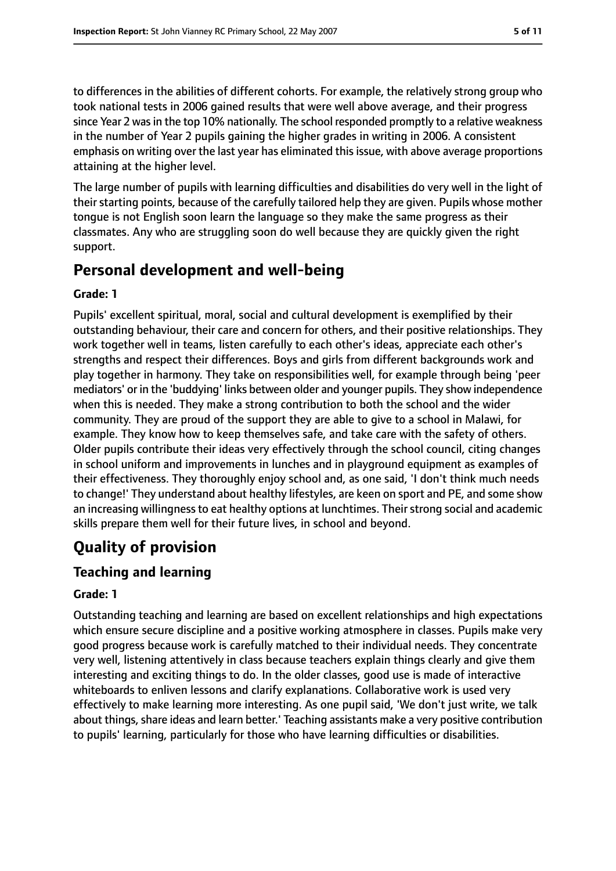to differences in the abilities of different cohorts. For example, the relatively strong group who took national tests in 2006 gained results that were well above average, and their progress since Year 2 was in the top 10% nationally. The school responded promptly to a relative weakness in the number of Year 2 pupils gaining the higher grades in writing in 2006. A consistent emphasis on writing over the last year has eliminated this issue, with above average proportions attaining at the higher level.

The large number of pupils with learning difficulties and disabilities do very well in the light of their starting points, because of the carefully tailored help they are given. Pupils whose mother tongue is not English soon learn the language so they make the same progress as their classmates. Any who are struggling soon do well because they are quickly given the right support.

# **Personal development and well-being**

#### **Grade: 1**

Pupils' excellent spiritual, moral, social and cultural development is exemplified by their outstanding behaviour, their care and concern for others, and their positive relationships. They work together well in teams, listen carefully to each other's ideas, appreciate each other's strengths and respect their differences. Boys and girls from different backgrounds work and play together in harmony. They take on responsibilities well, for example through being 'peer mediators' or in the 'buddying' links between older and younger pupils. They show independence when this is needed. They make a strong contribution to both the school and the wider community. They are proud of the support they are able to give to a school in Malawi, for example. They know how to keep themselves safe, and take care with the safety of others. Older pupils contribute their ideas very effectively through the school council, citing changes in school uniform and improvements in lunches and in playground equipment as examples of their effectiveness. They thoroughly enjoy school and, as one said, 'I don't think much needs to change!' They understand about healthy lifestyles, are keen on sport and PE, and some show an increasing willingness to eat healthy options at lunchtimes. Their strong social and academic skills prepare them well for their future lives, in school and beyond.

# **Quality of provision**

# **Teaching and learning**

## **Grade: 1**

Outstanding teaching and learning are based on excellent relationships and high expectations which ensure secure discipline and a positive working atmosphere in classes. Pupils make very good progress because work is carefully matched to their individual needs. They concentrate very well, listening attentively in class because teachers explain things clearly and give them interesting and exciting things to do. In the older classes, good use is made of interactive whiteboards to enliven lessons and clarify explanations. Collaborative work is used very effectively to make learning more interesting. As one pupil said, 'We don't just write, we talk about things, share ideas and learn better.' Teaching assistants make a very positive contribution to pupils' learning, particularly for those who have learning difficulties or disabilities.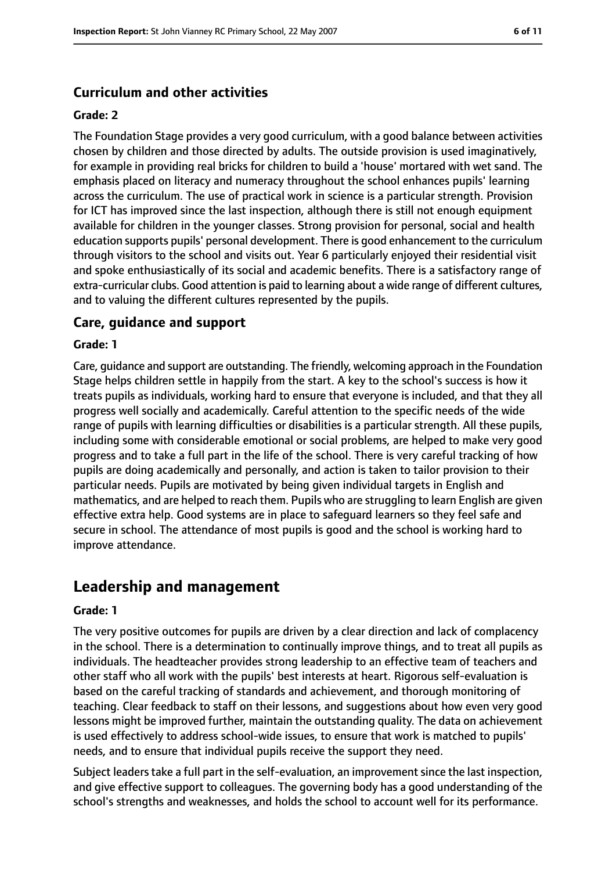## **Curriculum and other activities**

#### **Grade: 2**

The Foundation Stage provides a very good curriculum, with a good balance between activities chosen by children and those directed by adults. The outside provision is used imaginatively, for example in providing real bricks for children to build a 'house' mortared with wet sand. The emphasis placed on literacy and numeracy throughout the school enhances pupils' learning across the curriculum. The use of practical work in science is a particular strength. Provision for ICT has improved since the last inspection, although there is still not enough equipment available for children in the younger classes. Strong provision for personal, social and health education supports pupils' personal development. There is good enhancement to the curriculum through visitors to the school and visits out. Year 6 particularly enjoyed their residential visit and spoke enthusiastically of its social and academic benefits. There is a satisfactory range of extra-curricular clubs. Good attention is paid to learning about a wide range of different cultures, and to valuing the different cultures represented by the pupils.

#### **Care, guidance and support**

#### **Grade: 1**

Care, guidance and support are outstanding. The friendly, welcoming approach in the Foundation Stage helps children settle in happily from the start. A key to the school's success is how it treats pupils as individuals, working hard to ensure that everyone is included, and that they all progress well socially and academically. Careful attention to the specific needs of the wide range of pupils with learning difficulties or disabilities is a particular strength. All these pupils, including some with considerable emotional or social problems, are helped to make very good progress and to take a full part in the life of the school. There is very careful tracking of how pupils are doing academically and personally, and action is taken to tailor provision to their particular needs. Pupils are motivated by being given individual targets in English and mathematics, and are helped to reach them. Pupils who are struggling to learn English are given effective extra help. Good systems are in place to safeguard learners so they feel safe and secure in school. The attendance of most pupils is good and the school is working hard to improve attendance.

# **Leadership and management**

#### **Grade: 1**

The very positive outcomes for pupils are driven by a clear direction and lack of complacency in the school. There is a determination to continually improve things, and to treat all pupils as individuals. The headteacher provides strong leadership to an effective team of teachers and other staff who all work with the pupils' best interests at heart. Rigorous self-evaluation is based on the careful tracking of standards and achievement, and thorough monitoring of teaching. Clear feedback to staff on their lessons, and suggestions about how even very good lessons might be improved further, maintain the outstanding quality. The data on achievement is used effectively to address school-wide issues, to ensure that work is matched to pupils' needs, and to ensure that individual pupils receive the support they need.

Subject leaders take a full part in the self-evaluation, an improvement since the last inspection, and give effective support to colleagues. The governing body has a good understanding of the school's strengths and weaknesses, and holds the school to account well for its performance.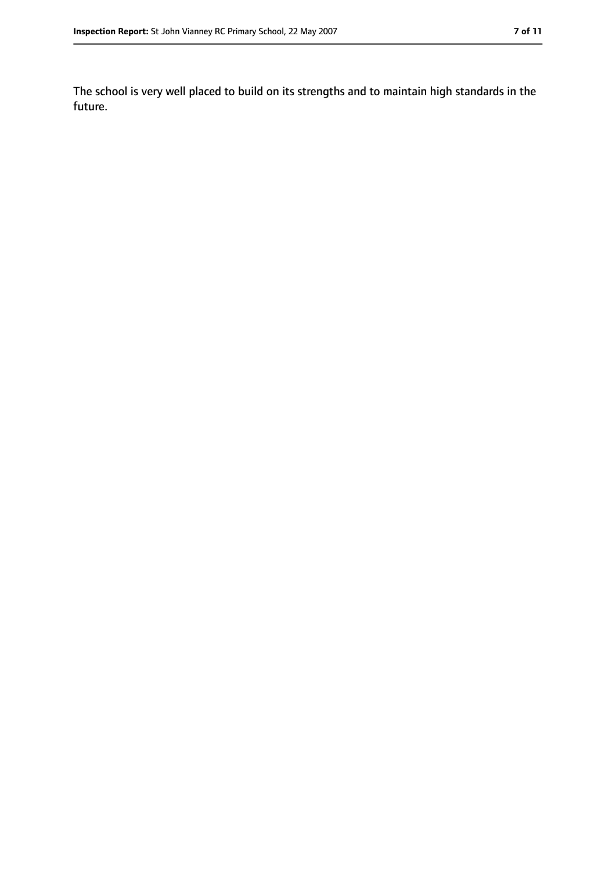The school is very well placed to build on its strengths and to maintain high standards in the future.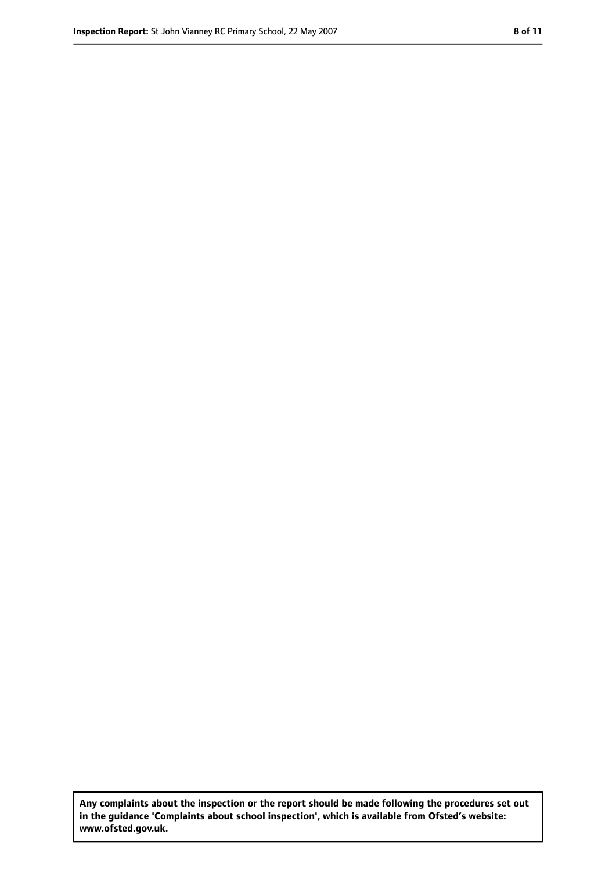**Any complaints about the inspection or the report should be made following the procedures set out in the guidance 'Complaints about school inspection', which is available from Ofsted's website: www.ofsted.gov.uk.**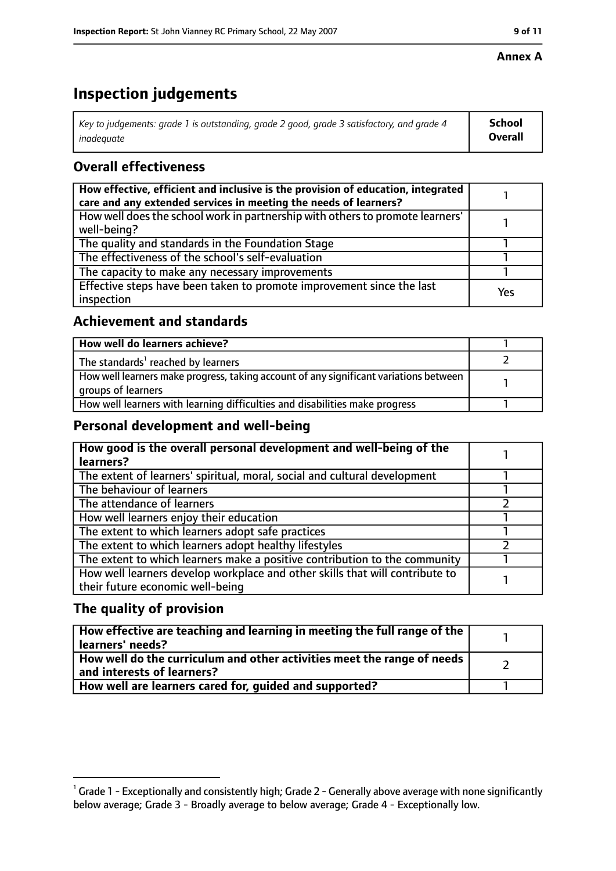#### **Annex A**

# **Inspection judgements**

| Key to judgements: grade 1 is outstanding, grade 2 good, grade 3 satisfactory, and grade 4 | School  |
|--------------------------------------------------------------------------------------------|---------|
| inadequate                                                                                 | Overall |

# **Overall effectiveness**

| How effective, efficient and inclusive is the provision of education, integrated<br>care and any extended services in meeting the needs of learners? |     |
|------------------------------------------------------------------------------------------------------------------------------------------------------|-----|
| How well does the school work in partnership with others to promote learners'<br>well-being?                                                         |     |
| The quality and standards in the Foundation Stage                                                                                                    |     |
| The effectiveness of the school's self-evaluation                                                                                                    |     |
| The capacity to make any necessary improvements                                                                                                      |     |
| Effective steps have been taken to promote improvement since the last<br>inspection                                                                  | Yes |

## **Achievement and standards**

| How well do learners achieve?                                                                               |  |
|-------------------------------------------------------------------------------------------------------------|--|
| The standards <sup>1</sup> reached by learners                                                              |  |
| How well learners make progress, taking account of any significant variations between<br>groups of learners |  |
| How well learners with learning difficulties and disabilities make progress                                 |  |

## **Personal development and well-being**

| How good is the overall personal development and well-being of the<br>learners? |  |
|---------------------------------------------------------------------------------|--|
|                                                                                 |  |
| The extent of learners' spiritual, moral, social and cultural development       |  |
| The behaviour of learners                                                       |  |
| The attendance of learners                                                      |  |
| How well learners enjoy their education                                         |  |
| The extent to which learners adopt safe practices                               |  |
| The extent to which learners adopt healthy lifestyles                           |  |
| The extent to which learners make a positive contribution to the community      |  |
| How well learners develop workplace and other skills that will contribute to    |  |
| their future economic well-being                                                |  |

## **The quality of provision**

| How effective are teaching and learning in meeting the full range of the<br>learners' needs?          |  |
|-------------------------------------------------------------------------------------------------------|--|
| How well do the curriculum and other activities meet the range of needs<br>and interests of learners? |  |
| How well are learners cared for, quided and supported?                                                |  |

 $^1$  Grade 1 - Exceptionally and consistently high; Grade 2 - Generally above average with none significantly below average; Grade 3 - Broadly average to below average; Grade 4 - Exceptionally low.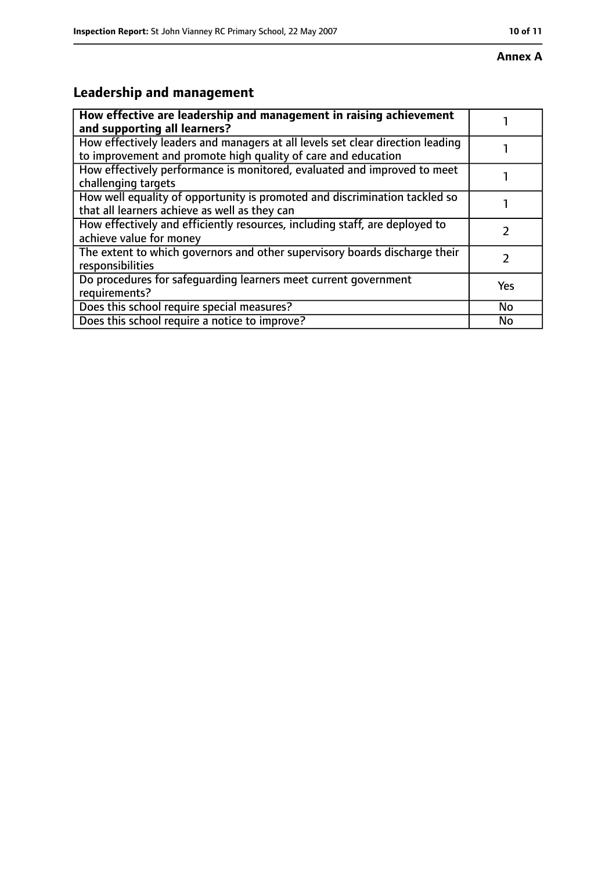# **Leadership and management**

| How effective are leadership and management in raising achievement<br>and supporting all learners?                                              |           |
|-------------------------------------------------------------------------------------------------------------------------------------------------|-----------|
| How effectively leaders and managers at all levels set clear direction leading<br>to improvement and promote high quality of care and education |           |
| How effectively performance is monitored, evaluated and improved to meet<br>challenging targets                                                 |           |
| How well equality of opportunity is promoted and discrimination tackled so<br>that all learners achieve as well as they can                     |           |
| How effectively and efficiently resources, including staff, are deployed to<br>achieve value for money                                          |           |
| The extent to which governors and other supervisory boards discharge their<br>responsibilities                                                  | 7         |
| Do procedures for safequarding learners meet current government<br>requirements?                                                                | Yes       |
| Does this school require special measures?                                                                                                      | <b>No</b> |
| Does this school require a notice to improve?                                                                                                   | No        |